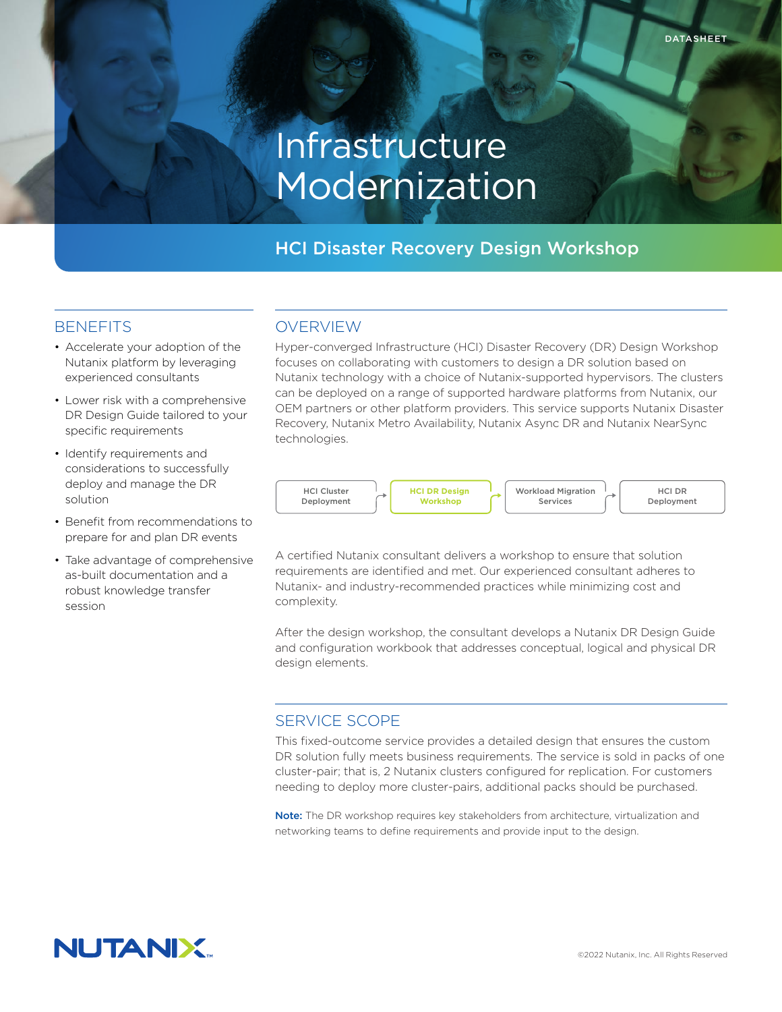# Infrastructure Modernization

# HCI Disaster Recovery Design Workshop

### **BENEFITS**

- Accelerate your adoption of the Nutanix platform by leveraging experienced consultants
- Lower risk with a comprehensive DR Design Guide tailored to your specific requirements
- Identify requirements and considerations to successfully deploy and manage the DR solution
- Benefit from recommendations to prepare for and plan DR events
- Take advantage of comprehensive as-built documentation and a robust knowledge transfer session

## OVERVIEW

Hyper-converged Infrastructure (HCI) Disaster Recovery (DR) Design Workshop focuses on collaborating with customers to design a DR solution based on Nutanix technology with a choice of Nutanix-supported hypervisors. The clusters can be deployed on a range of supported hardware platforms from Nutanix, our OEM partners or other platform providers. This service supports Nutanix Disaster Recovery, Nutanix Metro Availability, Nutanix Async DR and Nutanix NearSync technologies.



A certified Nutanix consultant delivers a workshop to ensure that solution requirements are identified and met. Our experienced consultant adheres to Nutanix- and industry-recommended practices while minimizing cost and complexity.

After the design workshop, the consultant develops a Nutanix DR Design Guide and configuration workbook that addresses conceptual, logical and physical DR design elements.

## SERVICE SCOPE

This fixed-outcome service provides a detailed design that ensures the custom DR solution fully meets business requirements. The service is sold in packs of one cluster-pair; that is, 2 Nutanix clusters configured for replication. For customers needing to deploy more cluster-pairs, additional packs should be purchased.

Note: The DR workshop requires key stakeholders from architecture, virtualization and networking teams to define requirements and provide input to the design.